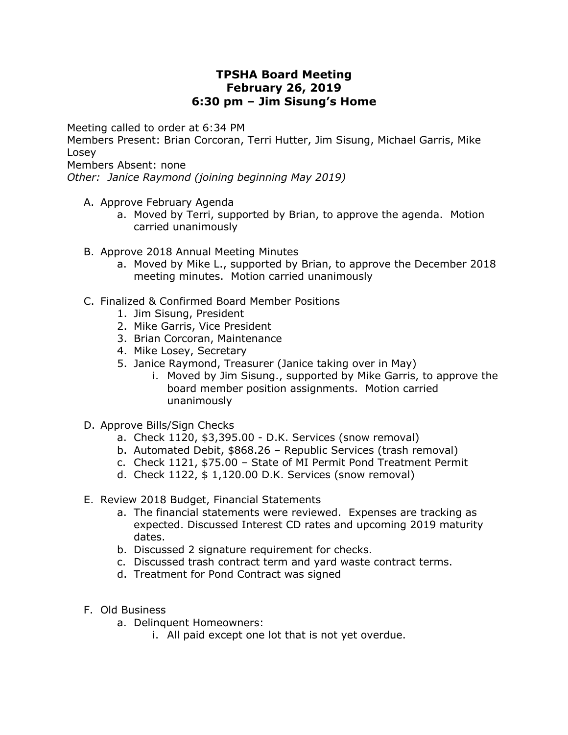## **TPSHA Board Meeting February 26, 2019 6:30 pm – Jim Sisung's Home**

Meeting called to order at 6:34 PM

Members Present: Brian Corcoran, Terri Hutter, Jim Sisung, Michael Garris, Mike Losey

Members Absent: none

*Other: Janice Raymond (joining beginning May 2019)*

- A. Approve February Agenda
	- a. Moved by Terri, supported by Brian, to approve the agenda. Motion carried unanimously
- B. Approve 2018 Annual Meeting Minutes
	- a. Moved by Mike L., supported by Brian, to approve the December 2018 meeting minutes. Motion carried unanimously
- C. Finalized & Confirmed Board Member Positions
	- 1. Jim Sisung, President
	- 2. Mike Garris, Vice President
	- 3. Brian Corcoran, Maintenance
	- 4. Mike Losey, Secretary
	- 5. Janice Raymond, Treasurer (Janice taking over in May)
		- i. Moved by Jim Sisung., supported by Mike Garris, to approve the board member position assignments. Motion carried unanimously
- D. Approve Bills/Sign Checks
	- a. Check 1120, \$3,395.00 D.K. Services (snow removal)
	- b. Automated Debit, \$868.26 Republic Services (trash removal)
	- c. Check 1121, \$75.00 State of MI Permit Pond Treatment Permit
	- d. Check 1122, \$ 1,120.00 D.K. Services (snow removal)
- E. Review 2018 Budget, Financial Statements
	- a. The financial statements were reviewed. Expenses are tracking as expected. Discussed Interest CD rates and upcoming 2019 maturity dates.
	- b. Discussed 2 signature requirement for checks.
	- c. Discussed trash contract term and yard waste contract terms.
	- d. Treatment for Pond Contract was signed
- F. Old Business
	- a. Delinquent Homeowners:
		- i. All paid except one lot that is not yet overdue.